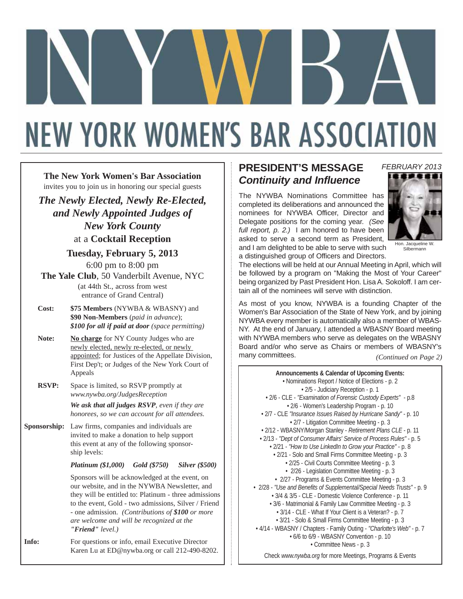# **NEW YORK WOMEN'S BAR ASSOCIATION**

**The New York Women's Bar Association** invites you to join us in honoring our special guests

*The Newly Elected, Newly Re-Elected, and Newly Appointed Judges of New York County* at a **Cocktail Reception**

#### **Tuesday, February 5, 2013**

6:00 pm to 8:00 pm

**The Yale Club**, 50 Vanderbilt Avenue, NYC (at 44th St., across from west entrance of Grand Central)

**Cost: \$75 Members** (NYWBA & WBASNY) and **\$90 Non-Members** (*paid in advance*); *\$100 for all if paid at door (space permitting)* 

Note: No charge for NY County Judges who are newly elected, newly re-elected, or newly appointed; for Justices of the Appellate Division, First Dep't; or Judges of the New York Court of Appeals

**RSVP:** Space is limited, so RSVP promptly at *www.nywba.org/JudgesReception*

> *We ask that all judges RSVP, even if they are honorees, so we can account for all attendees.*

**Sponsorship:** Law firms, companies and individuals are invited to make a donation to help support this event at any of the following sponsorship levels:

*Platinum (\$1,000) Gold (\$750) Silver (\$500)*

Sponsors will be acknowledged at the event, on our website, and in the NYWBA Newsletter, and they will be entitled to: Platinum - three admissions to the event, Gold - two admissions, Silver / Friend - one admission. *(Contributions of \$100 or more are welcome and will be recognized at the "Friend" level.)*

**Info:** For questions or info, email Executive Director Karen Lu at ED@nywba.org or call 212-490-8202.

## **PRESIDENT'S MESSAGE** *Continuity and Influence*

The NYWBA Nominations Committee has completed its deliberations and announced the nominees for NYWBA Officer, Director and Delegate positions for the coming year. *(See full report, p. 2.)* I am honored to have been asked to serve a second term as President, and I am delighted to be able to serve with such a distinguished group of Officers and Directors.



*FEBRUARY 2013*

Hon. Jacqueline W. Silbermann

The elections will be held at our Annual Meeting in April, which will be followed by a program on "Making the Most of Your Career" being organized by Past President Hon. Lisa A. Sokoloff. I am certain all of the nominees will serve with distinction.

As most of you know, NYWBA is a founding Chapter of the Women's Bar Association of the State of New York, and by joining NYWBA every member is automatically also a member of WBAS-NY. At the end of January, I attended a WBASNY Board meeting with NYWBA members who serve as delegates on the WBASNY Board and/or who serve as Chairs or members of WBASNY's many committees.

*(Continued on Page 2)*

**Announcements & Calendar of Upcoming Events:** • Nominations Report / Notice of Elections - p. 2 • 2/5 - Judiciary Reception - p. 1 • 2/6 - CLE - *"Examination of Forensic Custody Experts"* - p.8 • 2/6 - Women's Leadership Program - p. 10 • 2/7 - CLE *"Insurance Issues Raised by Hurricane Sandy"* - p. 10 • 2/7 - Litigation Committee Meeting - p. 3 • 2/12 - WBASNY/Morgan Stanley - *Retirement Plans CLE* - p. 11 • 2/13 - *"Dept of Consumer Affairs' Service of Process Rules"* - p. 5 • 2/21 - *"How to Use LinkedIn to Grow your Practice"* - p. 8 • 2/21 - Solo and Small Firms Committee Meeting - p. 3 • 2/25 - Civil Courts Committee Meeting - p. 3 • 2/26 - Legislation Committee Meeting - p. 3 • 2/27 - Programs & Events Committee Meeting - p. 3 • 2/28 - *"Use and Benefits of Supplemental/Special Needs Trusts"* - p. 9 • 3/4 & 3/5 - CLE - Domestic Violence Conference - p. 11 • 3/6 - Matrimonial & Family Law Committee Meeting - p. 3 • 3/14 - CLE - What If Your Client is a Veteran? - p. 7 • 3/21 - Solo & Small Firms Committee Meeting - p. 3 • 4/14 - WBASNY / Chapters - Family Outing - *"Charlotte's Web"* - p. 7 • 6/6 to 6/9 - WBASNY Convention - p. 10 • Committee News - p. 3 Check *www.nywba.org* for more Meetings, Programs & Events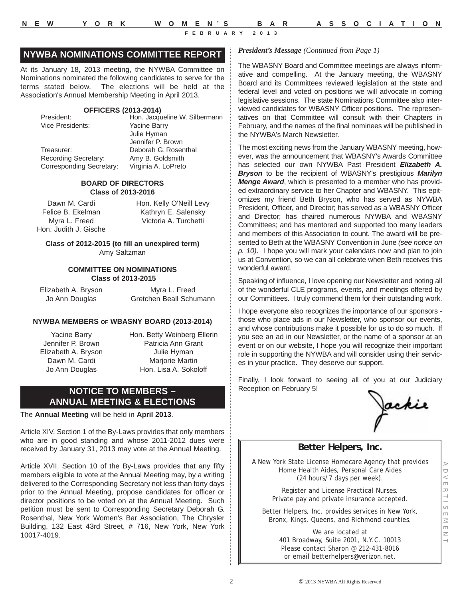#### **NYWBA NOMINATIONS COMMITTEE REPORT**

At its January 18, 2013 meeting, the NYWBA Committee on Nominations nominated the following candidates to serve for the terms stated below. The elections will be held at the Association's Annual Membership Meeting in April 2013.

#### **OFFICERS (2013-2014)**

| President:                      | Hon. Jacqueline W. Silbermann |
|---------------------------------|-------------------------------|
| Vice Presidents:                | <b>Yacine Barry</b>           |
|                                 | Julie Hyman                   |
|                                 | Jennifer P. Brown             |
| Treasurer:                      | Deborah G. Rosenthal          |
| <b>Recording Secretary:</b>     | Amy B. Goldsmith              |
| <b>Corresponding Secretary:</b> | Virginia A. LoPreto           |

#### **BOARD OF DIRECTORS Class of 2013-2016**

Dawn M. Cardi Felice B. Ekelman Myra L. Freed Hon. Judith J. Gische Hon. Kelly O'Neill Levy Kathryn E. Salensky Victoria A. Turchetti

**Class of 2012-2015 (to fill an unexpired term)** Amy Saltzman

#### **COMMITTEE ON NOMINATIONS Class of 2013-2015**

Elizabeth A. Bryson Jo Ann Douglas

Myra L. Freed Gretchen Beall Schumann

#### **NYWBA MEMBERS OF WBASNY BOARD (2013-2014)**

Yacine Barry Jennifer P. Brown Elizabeth A. Bryson Dawn M. Cardi Jo Ann Douglas

Hon. Betty Weinberg Ellerin Patricia Ann Grant Julie Hyman Marjorie Martin Hon. Lisa A. Sokoloff

#### **NOTICE TO MEMBERS – ANNUAL MEETING & ELECTIONS**

The **Annual Meeting** will be held in **April 2013**.

Article XIV, Section 1 of the By-Laws provides that only members who are in good standing and whose 2011-2012 dues were received by January 31, 2013 may vote at the Annual Meeting.

Article XVII, Section 10 of the By-Laws provides that any fifty members eligible to vote at the Annual Meeting may, by a writing delivered to the Corresponding Secretary not less than forty days prior to the Annual Meeting, propose candidates for officer or director positions to be voted on at the Annual Meeting. Such petition must be sent to Corresponding Secretary Deborah G. Rosenthal, New York Women's Bar Association, The Chrysler Building, 132 East 43rd Street, # 716, New York, New York 10017-4019.

#### *President's Message (Continued from Page 1)*

The WBASNY Board and Committee meetings are always informative and compelling. At the January meeting, the WBASNY Board and its Committees reviewed legislation at the state and federal level and voted on positions we will advocate in coming legislative sessions. The state Nominations Committee also interviewed candidates for WBASNY Officer positions. The representatives on that Committee will consult with their Chapters in February, and the names of the final nominees will be published in the NYWBA's March Newsletter.

The most exciting news from the January WBASNY meeting, however, was the announcement that WBASNY's Awards Committee has selected our own NYWBA Past President *Elizabeth A. Bryson* to be the recipient of WBASNY's prestigious *Marilyn Menge Award*, which is presented to a member who has provided extraordinary service to her Chapter and WBASNY. This epitomizes my friend Beth Bryson, who has served as NYWBA President, Officer, and Director; has served as a WBASNY Officer and Director; has chaired numerous NYWBA and WBASNY Committees; and has mentored and supported too many leaders and members of this Association to count. The award will be presented to Beth at the WBASNY Convention in June *(see notice on p. 10)*. I hope you will mark your calendars now and plan to join us at Convention, so we can all celebrate when Beth receives this wonderful award.

Speaking of influence, I love opening our Newsletter and noting all of the wonderful CLE programs, events, and meetings offered by our Committees. I truly commend them for their outstanding work.

I hope everyone also recognizes the importance of our sponsors those who place ads in our Newsletter, who sponsor our events, and whose contributions make it possible for us to do so much. If you see an ad in our Newsletter, or the name of a sponsor at an event or on our website, I hope you will recognize their important role in supporting the NYWBA and will consider using their services in your practice. They deserve our support.

Finally, I look forward to seeing all of you at our Judiciary Reception on February 5!

fackie

#### **Better Helpers, Inc.**

A New York State License Homecare Agency that provides Home Health Aides, Personal Care Aides (24 hours/7 days per week).

> Register and License Practical Nurses. Private pay and private insurance accepted.

Better Helpers, Inc. provides services in New York, Bronx, Kings, Queens, and Richmond counties.

> We are located at 401 Broadway, Suite 2001, N.Y.C. 10013 Please contact Sharon @ 212-431-8016 or email betterhelpers@verizon.net.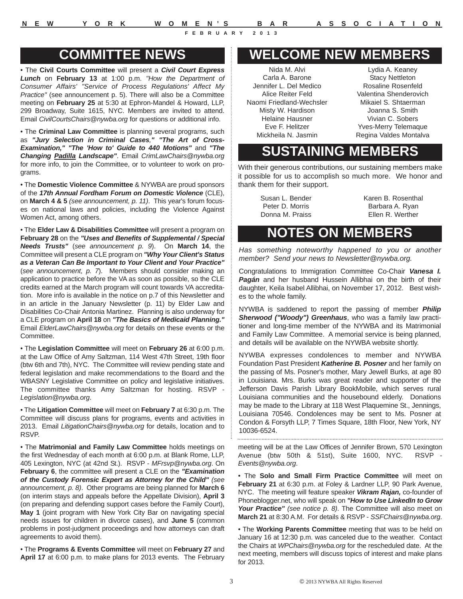**N E W Y O R K W O M E N'S B A R A S S O C I A T I O N**

## **COMMITTEE NEWS**

• The **Civil Courts Committee** will present a *Civil Court Express Lunch* on **February 13** at 1:00 p.m. *"How the Department of Consumer Affairs' "Service of Process Regulations' Affect My Practice"* (see announcement p. 5). There will also be a Committee meeting on **February 25** at 5:30 at Ephron-Mandel & Howard, LLP, 299 Broadway, Suite 1615, NYC. Members are invited to attend. Email *CivilCourtsChairs@nywba.org* for questions or additional info.

• The **Criminal Law Committee** is planning several programs, such as *"Jury Selection in Criminal Cases," "The Art of Cross-Examination," "The 'How to' Guide to 440 Motions"* and *"The Changing Padilla Landscape"*. Email *CrimLawChairs@nywba.org* for more info, to join the Committee, or to volunteer to work on programs.

• The **Domestic Violence Committee** & NYWBA are proud sponsors of the *17th Annual Fordham Forum on Domestic Violence* (CLE), on **March 4 & 5** *(see announcement, p. 11)*. This year's forum focuses on national laws and policies, including the Violence Against Women Act, among others.

• The **Elder Law & Disabilities Committee** will present a program on **February 28** on the *"Uses and Benefits of Supplemental / Special Needs Trusts"* (*see announcement p. 9*). On **March 14**, the Committee will present a CLE program on *"Why Your Client's Status as a Veteran Can Be Important to Your Client and Your Practice"* (*see announcement, p. 7*). Members should consider making an application to practice before the VA as soon as possible, so the CLE credits earned at the March program will count towards VA accreditation. More info is available in the notice on p.7 of this Newsletter and in an article in the January Newsletter (p. 11) by Elder Law and Disabilities Co-Chair Antonia Martinez. Planning is also underway for a CLE program on **April 18** on *"The Basics of Medicaid Planning."* Email *ElderLawChairs@nywba.org* for details on these events or the Committee.

• The **Legislation Committee** will meet on **February 26** at 6:00 p.m. at the Law Office of Amy Saltzman, 114 West 47th Street, 19th floor (btw 6th and 7th), NYC. The Committee will review pending state and federal legislation and make recommendations to the Board and the WBASNY Legislative Committee on policy and legislative initiatives. The committee thanks Amy Saltzman for hosting. RSVP - *Legislation@nywba.org*.

• The **Litigation Committee** will meet on **February 7** at 6:30 p.m. The Committee will discuss plans for programs, events and activities in 2013. Email *LitigationChairs@nywba.org* for details, location and to RSVP.

• The **Matrimonial and Family Law Committee** holds meetings on the first Wednesday of each month at 6:00 p.m. at Blank Rome, LLP, 405 Lexington, NYC (at 42nd St.). RSVP - *MFrsvp@nywba.org*. On **February 6**, the committee will present a CLE on the *"Examination of the Custody Forensic Expert as Attorney for the Child" (see announcement, p. 8)*. Other programs are being planned for **March 6** (on interim stays and appeals before the Appellate Division), **April 3** (on preparing and defending support cases before the Family Court), **May 1** (joint program with New York City Bar on navigating special needs issues for children in divorce cases), and **June 5** (common problems in post-judgment proceedings and how attorneys can draft agreements to avoid them).

• The **Programs & Events Committee** will meet on **February 27** and **April 17** at 6:00 p.m. to make plans for 2013 events. The February

## **WELCOME NEW MEMBERS**

Nida M. Alvi Carla A. Barone Jennifer L. Del Medico Alice Reiter Feld Naomi Friedland-Wechsler Misty W. Hardison Helaine Hausner Eve F. Helitzer Mickheila N. Jasmin

Lydia A. Keaney Stacy Nettleton Rosaline Rosenfeld Valentina Shenderovich Mikaiel S. Shtaerman Joanna S. Smith Vivian C. Sobers Yves-Merry Telemaque Regina Valdes Montalva

## **SUSTAINING MEMBERS**

With their generous contributions, our sustaining members make it possible for us to accomplish so much more. We honor and thank them for their support.

> Susan L. Bender Peter D. Morris Donna M. Praiss

Karen B. Rosenthal Barbara A. Ryan Ellen R. Werther

## **NOTES ON MEMBERS**

*Has something noteworthy happened to you or another member? Send your news to Newsletter@nywba.org.*

Congratulations to Immigration Committee Co-Chair *Vanesa I. Pagán* and her husband Hussein Allibhai on the birth of their daughter, Keila Isabel Allibhai, on November 17, 2012. Best wishes to the whole family.

NYWBA is saddened to report the passing of member *Philip Sherwood ("Woody") Greenhaus*, who was a family law practitioner and long-time member of the NYWBA and its Matrimonial and Family Law Committee. A memorial service is being planned, and details will be available on the NYWBA website shortly.

NYWBA expresses condolences to member and NYWBA Foundation Past President *Katherine B. Posner* and her family on the passing of Ms. Posner's mother, Mary Jewell Burks, at age 80 in Louisiana. Mrs. Burks was great reader and supporter of the Jefferson Davis Parish Library BookMobile, which serves rural Louisiana communities and the housebound elderly. Donations may be made to the Library at 118 West Plaquemine St., Jennings, Louisiana 70546. Condolences may be sent to Ms. Posner at Condon & Forsyth LLP, 7 Times Square, 18th Floor, New York, NY 10036-6524.

meeting will be at the Law Offices of Jennifer Brown, 570 Lexington Avenue (btw 50th & 51st), Suite 1600, NYC. RSVP - *Events@nywba.org*.

• The **Solo and Small Firm Practice Committee** will meet on **February 21** at 6:30 p.m. at Foley & Lardner LLP, 90 Park Avenue, NYC. The meeting will feature speaker *Vikram Rajan,* co-founder of Phoneblogger.net, who will speak on *"How to Use LinkedIn to Grow Your Practice" (see notice p. 8)*. The Committee will also meet on **March 21** at 8:30 A.M. For details & RSVP - *SSFChairs@nywba.org*.

• The **Working Parents Committee** meeting that was to be held on January 16 at 12:30 p.m. was canceled due to the weather. Contact the Chairs at *WPChairs@nywba.org* for the rescheduled date. At the next meeting, members will discuss topics of interest and make plans for 2013.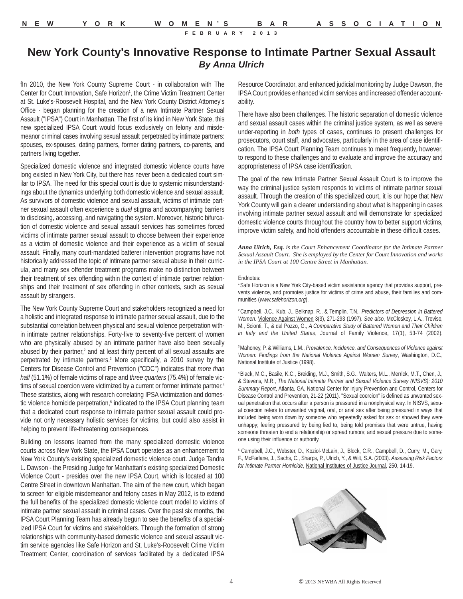## **New York County's Innovative Response to Intimate Partner Sexual Assault** *By Anna Ulrich*

fln 2010, the New York County Supreme Court - in collaboration with The Center for Court Innovation, Safe Horizon<sup>1</sup>, the Crime Victim Treatment Center at St. Luke's-Roosevelt Hospital, and the New York County District Attorney's Office - began planning for the creation of a new Intimate Partner Sexual Assault ("IPSA") Court in Manhattan. The first of its kind in New York State, this new specialized IPSA Court would focus exclusively on felony and misdemeanor criminal cases involving sexual assault perpetrated by intimate partners: spouses, ex-spouses, dating partners, former dating partners, co-parents, and partners living together.

Specialized domestic violence and integrated domestic violence courts have long existed in New York City, but there has never been a dedicated court similar to IPSA. The need for this special court is due to systemic misunderstandings about the dynamics underlying both domestic violence and sexual assault. As survivors of domestic violence and sexual assault, victims of intimate partner sexual assault often experience a *dual* stigma and accompanying barriers to disclosing, accessing, and navigating the system. Moreover, historic bifurcation of domestic violence and sexual assault services has sometimes forced victims of intimate partner sexual assault to choose between their experience as a victim of domestic violence and their experience as a victim of sexual assault. Finally, many court-mandated batterer intervention programs have not historically addressed the topic of intimate partner sexual abuse in their curricula, and many sex offender treatment programs make no distinction between their treatment of sex offending within the context of intimate partner relationships and their treatment of sex offending in other contexts, such as sexual assault by strangers.

The New York County Supreme Court and stakeholders recognized a need for a holistic and integrated response to intimate partner sexual assault, due to the substantial correlation between physical and sexual violence perpetration within intimate partner relationships. Forty-five to seventy-five percent of women who are physically abused by an intimate partner have also been sexually abused by their partner,<sup>2</sup> and at least thirty percent of all sexual assaults are perpetrated by intimate partners.<sup>3</sup> More specifically, a 2010 survey by the Centers for Disease Control and Prevention ("CDC") indicates that *more than half* (51.1%) of female victims of rape and *three quarters* (75.4%) of female victims of sexual coercion were victimized by a current or former intimate partner.<sup>4</sup> These statistics, along with research correlating IPSA victimization and domestic violence homicide perpetration,<sup>5</sup> indicated to the IPSA Court planning team that a dedicated court response to intimate partner sexual assault could provide not only necessary holistic services for victims, but could also assist in helping to prevent life-threatening consequences.

Building on lessons learned from the many specialized domestic violence courts across New York State, the IPSA Court operates as an enhancement to New York County's existing specialized domestic violence court. Judge Tandra L. Dawson - the Presiding Judge for Manhattan's existing specialized Domestic Violence Court - presides over the new IPSA Court, which is located at 100 Centre Street in downtown Manhattan. The aim of the new court, which began to screen for eligible misdemeanor and felony cases in May 2012, is to extend the full benefits of the specialized domestic violence court model to victims of intimate partner sexual assault in criminal cases. Over the past six months, the IPSA Court Planning Team has already begun to see the benefits of a specialized IPSA Court for victims and stakeholders. Through the formation of strong relationships with community-based domestic violence and sexual assault victim service agencies like Safe Horizon and St. Luke's-Roosevelt Crime Victim Treatment Center, coordination of services facilitated by a dedicated IPSA

Resource Coordinator, and enhanced judicial monitoring by Judge Dawson, the IPSA Court provides enhanced victim services and increased offender accountability.

There have also been challenges. The historic separation of domestic violence and sexual assault cases within the criminal justice system, as well as severe under-reporting in *both* types of cases, continues to present challenges for prosecutors, court staff, and advocates, particularly in the area of case identification. The IPSA Court Planning Team continues to meet frequently, however, to respond to these challenges and to evaluate and improve the accuracy and appropriateness of IPSA case identification.

The goal of the new Intimate Partner Sexual Assault Court is to improve the way the criminal justice system responds to victims of intimate partner sexual assault. Through the creation of this specialized court, it is our hope that New York County will gain a clearer understanding about what is happening in cases involving intimate partner sexual assault and will demonstrate for specialized domestic violence courts throughout the country how to better support victims, improve victim safety, and hold offenders accountable in these difficult cases.

*Anna Ulrich, Esq. is the Court Enhancement Coordinator for the Intimate Partner Sexual Assault Court. She is employed by the Center for Court Innovation and works in the IPSA Court at 100 Centre Street in Manhattan.*

#### Endnotes:

1 Safe Horizon is a New York City-based victim assistance agency that provides support, prevents violence, and promotes justice for victims of crime and abuse, their families and communities (*www.safehorizon.org*).

2 Campbell, J.C., Kub, J., Belknap, R., & Templin, T.N., *Predictors of Depression in Battered Women.* Violence Against Women 3(3), 271-293 (1997). *See also*, McCloskey, L.A., Treviso, M., Scionti, T., & dal Pozzo, G., *A Comparative Study of Battered Women and Their Children in Italy and the United States*, Journal of Family Violence, 17(1), 53-74 (2002).

3 Mahoney, P. & Williams, L.M., *Prevalence, Incidence, and Consequences of Violence against Women: Findings from the National Violence Against Women Survey*, Washington, D.C., National Institute of Justice (1998).

4 Black, M.C., Basile, K.C., Breiding, M.J., Smith, S.G., Walters, M.L., Merrick, M.T., Chen, J., & Stevens, M.R., *The National Intimate Partner and Sexual Violence Survey (NISVS): 2010 Summary Report*, Atlanta, GA, National Center for Injury Prevention and Control, Centers for Disease Control and Prevention, 21-22 (2011). "Sexual coercion" is defined as unwanted sexual penetration that occurs after a person is pressured in a nonphysical way. In NISVS, sexual coercion refers to unwanted vaginal, oral, or anal sex after being pressured in ways that included being worn down by someone who repeatedly asked for sex or showed they were unhappy; feeling pressured by being lied to, being told promises that were untrue, having someone threaten to end a relationship or spread rumors; and sexual pressure due to someone using their influence or authority.

<sup>5</sup> Campbell, J.C., Webster, D., Koziol-McLain, J., Block, C.R., Campbell, D., Curry, M., Gary, F., McFarlane, J., Sachs, C., Sharps, P., Ulrich, Y., & Wilt, S.A. (2003). *Assessing Risk Factors for Intimate Partner Homicide*, National Institutes of Justice Journal, 250, 14-19.

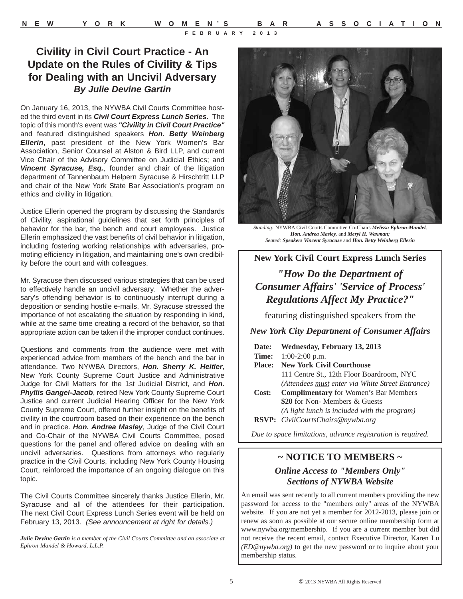## **Civility in Civil Court Practice - An Update on the Rules of Civility & Tips for Dealing with an Uncivil Adversary** *By Julie Devine Gartin*

On January 16, 2013, the NYWBA Civil Courts Committee hosted the third event in its *Civil Court Express Lunch Series*. The topic of this month's event was *"Civility in Civil Court Practice"* and featured distinguished speakers *Hon. Betty Weinberg Ellerin*, past president of the New York Women's Bar Association, Senior Counsel at Alston & Bird LLP, and current Vice Chair of the Advisory Committee on Judicial Ethics; and *Vincent Syracuse, Esq.*, founder and chair of the litigation department of Tannenbaum Helpern Syracuse & Hirschtritt LLP and chair of the New York State Bar Association's program on ethics and civility in litigation.

Justice Ellerin opened the program by discussing the Standards of Civility, aspirational guidelines that set forth principles of behavior for the bar, the bench and court employees. Justice Ellerin emphasized the vast benefits of civil behavior in litigation, including fostering working relationships with adversaries, promoting efficiency in litigation, and maintaining one's own credibility before the court and with colleagues.

Mr. Syracuse then discussed various strategies that can be used to effectively handle an uncivil adversary. Whether the adversary's offending behavior is to continuously interrupt during a deposition or sending hostile e-mails, Mr. Syracuse stressed the importance of not escalating the situation by responding in kind, while at the same time creating a record of the behavior, so that appropriate action can be taken if the improper conduct continues.

Questions and comments from the audience were met with experienced advice from members of the bench and the bar in attendance. Two NYWBA Directors, *Hon. Sherry K. Heitler*, New York County Supreme Court Justice and Administrative Judge for Civil Matters for the 1st Judicial District, and *Hon.* **Phyllis Gangel-Jacob**, retired New York County Supreme Court Justice and current Judicial Hearing Officer for the New York County Supreme Court, offered further insight on the benefits of civility in the courtroom based on their experience on the bench and in practice. *Hon. Andrea Masley*, Judge of the Civil Court and Co-Chair of the NYWBA Civil Courts Committee, posed questions for the panel and offered advice on dealing with an uncivil adversaries. Questions from attorneys who regularly practice in the Civil Courts, including New York County Housing Court, reinforced the importance of an ongoing dialogue on this topic.

The Civil Courts Committee sincerely thanks Justice Ellerin, Mr. Syracuse and all of the attendees for their participation. The next Civil Court Express Lunch Series event will be held on February 13, 2013. *(See announcement at right for details.)*

*Julie Devine Gartin is a member of the Civil Courts Committee and an associate at Ephron-Mandel & Howard, L.L.P.*



*Standing:* NYWBA Civil Courts Committee Co-Chairs *Melissa Ephron-Mandel, Hon. Andrea Masley,* and *Meryl H. Waxman; Seated: Speakers Vincent Syracuse* and *Hon. Betty Weinberg Ellerin*

#### **New York Civil Court Express Lunch Series**

## *"How Do the Department of Consumer Affairs' 'Service of Process' Regulations Affect My Practice?"*

featuring distinguished speakers from the

*New York City Department of Consumer Affairs*

| Date:         | Wednesday, February 13, 2013                     |
|---------------|--------------------------------------------------|
| Time:         | $1:00-2:00$ p.m.                                 |
| <b>Place:</b> | <b>New York Civil Courthouse</b>                 |
|               | 111 Centre St., 12th Floor Boardroom, NYC        |
|               | (Attendees must enter via White Street Entrance) |
| Cost:         | <b>Complimentary</b> for Women's Bar Members     |
|               | \$20 for Non- Members & Guests                   |
|               | (A light lunch is included with the program)     |
|               | RSVP: CivilCourtsChairs@nywba.org                |
|               |                                                  |

*Due to space limitations, advance registration is required.*

### **~ NOTICE TO MEMBERS ~** *Online Access to "Members Only" Sections of NYWBA Website*

An email was sent recently to all current members providing the new password for access to the "members only" areas of the NYWBA website. If you are not yet a member for 2012-2013, please join or renew as soon as possible at our secure online membership form at www.nywba.org/membership. If you are a current member but did not receive the recent email, contact Executive Director, Karen Lu *(ED@nywba.org)* to get the new password or to inquire about your membership status.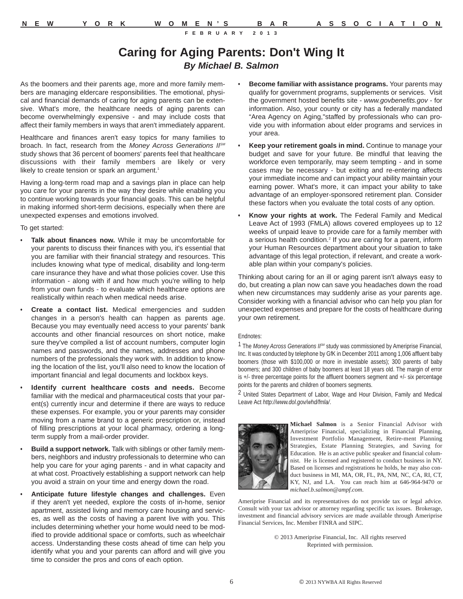## **Caring for Aging Parents: Don't Wing It** *By Michael B. Salmon*

As the boomers and their parents age, more and more family members are managing eldercare responsibilities. The emotional, physical and financial demands of caring for aging parents can be extensive. What's more, the healthcare needs of aging parents can become overwhelmingly expensive - and may include costs that affect their family members in ways that aren't immediately apparent.

Healthcare and finances aren't easy topics for many families to broach. In fact, research from the *Money Across Generations IISM* study shows that 36 percent of boomers' parents feel that healthcare discussions with their family members are likely or very likely to create tension or spark an argument.<sup>1</sup>

Having a long-term road map and a savings plan in place can help you care for your parents in the way they desire while enabling you to continue working towards your financial goals. This can be helpful in making informed short-term decisions, especially when there are unexpected expenses and emotions involved.

To get started:

- **• Talk about finances now.** While it may be uncomfortable for your parents to discuss their finances with you, it's essential that you are familiar with their financial strategy and resources. This includes knowing what type of medical, disability and long-term care insurance they have and what those policies cover. Use this information - along with if and how much you're willing to help from your own funds - to evaluate which healthcare options are realistically within reach when medical needs arise.
- **Create a contact list.** Medical emergencies and sudden changes in a person's health can happen as parents age. Because you may eventually need access to your parents' bank accounts and other financial resources on short notice, make sure they've compiled a list of account numbers, computer login names and passwords, and the names, addresses and phone numbers of the professionals they work with. In addition to knowing the location of the list, you'll also need to know the location of important financial and legal documents and lockbox keys.
- **• Identify current healthcare costs and needs.** Become familiar with the medical and pharmaceutical costs that your parent(s) currently incur and determine if there are ways to reduce these expenses. For example, you or your parents may consider moving from a name brand to a generic prescription or, instead of filling prescriptions at your local pharmacy, ordering a longterm supply from a mail-order provider.
- **• Build a support network.** Talk with siblings or other family members, neighbors and industry professionals to determine who can help you care for your aging parents - and in what capacity and at what cost. Proactively establishing a support network can help you avoid a strain on your time and energy down the road.
- **• Anticipate future lifestyle changes and challenges.** Even if they aren't yet needed, explore the costs of in-home, senior apartment, assisted living and memory care housing and services, as well as the costs of having a parent live with you. This includes determining whether your home would need to be modified to provide additional space or comforts, such as wheelchair access. Understanding these costs ahead of time can help you identify what you and your parents can afford and will give you time to consider the pros and cons of each option.
- **• Become familiar with assistance programs.** Your parents may qualify for government programs, supplements or services. Visit the government hosted benefits site - *www.govbenefits.gov* - for information. Also, your county or city has a federally mandated "Area Agency on Aging,"staffed by professionals who can provide you with information about elder programs and services in your area.
- **• Keep your retirement goals in mind.** Continue to manage your budget and save for your future. Be mindful that leaving the workforce even temporarily, may seem tempting - and in some cases may be necessary - but exiting and re-entering affects your immediate income and can impact your ability maintain your earning power. What's more, it can impact your ability to take advantage of an employer-sponsored retirement plan. Consider these factors when you evaluate the total costs of any option.
- **• Know your rights at work.** The Federal Family and Medical Leave Act of 1993 (FMLA) allows covered employees up to 12 weeks of unpaid leave to provide care for a family member with a serious health condition.<sup>2</sup> If you are caring for a parent, inform your Human Resources department about your situation to take advantage of this legal protection, if relevant, and create a workable plan within your company's policies.

Thinking about caring for an ill or aging parent isn't always easy to do, but creating a plan now can save you headaches down the road when new circumstances may suddenly arise as your parents age. Consider working with a financial advisor who can help you plan for unexpected expenses and prepare for the costs of healthcare during your own retirement.

#### Endnotes:

1 The Money Across Generations IF<sup>M</sup> study was commissioned by Ameriprise Financial, Inc. It was conducted by telephone by GfK in December 2011 among 1,006 affluent baby boomers (those with \$100,000 or more in investable assets); 300 parents of baby boomers; and 300 children of baby boomers at least 18 years old. The margin of error is +/- three percentage points for the affluent boomers segment and +/- six percentage points for the parents and children of boomers segments.

2 United States Department of Labor, Wage and Hour Division, Family and Medical Leave Act *http://www.dol.gov/whd/fmla/*.



**Michael Salmon** is a Senior Financial Advisor with Ameriprise Financial, specializing in Financial Planning, Investment Portfolio Management, Retire-ment Planning Strategies, Estate Planning Strategies, and Saving for Education. He is an active public speaker and financial columnist. He is licensed and registered to conduct business in NY. Based on licenses and registrations he holds, he may also conduct business in MI, MA, OR, FL, PA, NM, NC, CA, RI, CT, KY, NJ, and LA. You can reach him at 646-964-9470 or *michael.b.salmon@ampf.com*.

Ameriprise Financial and its representatives do not provide tax or legal advice. Consult with your tax advisor or attorney regarding specific tax issues. Brokerage, investment and financial advisory services are made available through Ameriprise Financial Services, Inc. Member FINRA and SIPC.

> © 2013 Ameriprise Financial, Inc. All rights reserved Reprinted with permission.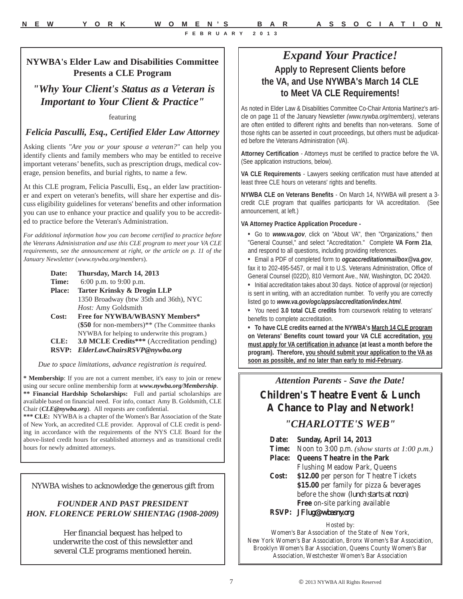#### **NYWBA's Elder Law and Disabilities Committee Presents a CLE Program**

*"Why Your Client's Status as a Veteran is Important to Your Client & Practice"*

#### featuring

#### *Felicia Pasculli, Esq., Certified Elder Law Attorney*

Asking clients *"Are you or your spouse a veteran?"* can help you identify clients and family members who may be entitled to receive important veterans' benefits, such as prescription drugs, medical coverage, pension benefits, and burial rights, to name a few.

At this CLE program, Felicia Pasculli, Esq., an elder law practitioner and expert on veteran's benefits, will share her expertise and discuss eligibility guidelines for veterans' benefits and other information you can use to enhance your practice and qualify you to be accredited to practice before the Veteran's Administration.

*For additional information how you can become certified to practice before the Veterans Administration and use this CLE program to meet your VA CLE requirements, see the announcement at right, or the article on p. 11 of the January Newsletter* (*www.nywba.org/members*).

| Thursday, March 14, 2013                                    |
|-------------------------------------------------------------|
| 6:00 p.m. to $9:00$ p.m.                                    |
| Tarter Krinsky & Drogin LLP                                 |
| 1350 Broadway (btw 35th and 36th), NYC                      |
| Host: Amy Goldsmith                                         |
| Free for NYWBA/WBASNY Members*                              |
| (\$50 for non-members) <sup>**</sup> (The Committee thanks) |
| NYWBA for helping to underwrite this program.)              |
| <b>3.0 MCLE Credits***</b> (Accreditation pending)          |
|                                                             |

**RSVP:** *ElderLawChairsRSVP@nywba.org*

*Due to space limitations, advance registration is required.*

**\* Membership**: If you are not a current member, it's easy to join or renew using our secure online membership form at *www.nywba.org/Membership*. **\*\* Financial Hardship Scholarships:** Full and partial scholarships are available based on financial need. For info, contact Amy B. Goldsmith, CLE Chair (*CLE@nywba.org*). All requests are confidential.

**\*\*\* CLE:** NYWBA is a chapter of the Women's Bar Association of the State of New York, an accredited CLE provider. Approval of CLE credit is pending in accordance with the requirements of the NYS CLE Board for the above-listed credit hours for established attorneys and as transitional credit hours for newly admitted attorneys.

NYWBA wishes to acknowledge the generous gift from

#### *FOUNDER AND PAST PRESIDENT HON. FLORENCE PERLOW SHIENTAG (1908-2009)*

Her financial bequest has helped to underwrite the cost of this newsletter and several CLE programs mentioned herein.

## *Expand Your Practice!* **Apply to Represent Clients before the VA, and Use NYWBA's March 14 CLE to Meet VA CLE Requirements!**

As noted in Elder Law & Disabilities Committee Co-Chair Antonia Martinez's article on page 11 of the January Newsletter *(www.nywba.org/members)*, veterans are often entitled to different rights and benefits than non-veterans. Some of those rights can be asserted in court proceedings, but others must be adjudicated before the Veterans Administration (VA).

**Attorney Certification** - Attorneys must be certified to practice before the VA. (See application instructions, below).

**VA CLE Requirements** - Lawyers seeking certification must have attended at least three CLE hours on veterans' rights and benefits.

**NYWBA CLE on Veterans Benefits** - On March 14, NYWBA will present a 3 credit CLE program that qualifies participants for VA accreditation. (See announcement, at left.)

#### **VA Attorney Practice Application Procedure -**

- **•** Go to *www.va.gov*, click on "About VA", then "Organizations," then "General Counsel," and select "Accreditation." Complete **VA Form 21a**, and respond to all questions, including providing references.
- **•** Email a PDF of completed form to *ogcaccreditationmailbox@va.gov*, fax it to 202-495-5457, or mail it to U.S. Veterans Administration, Office of General Counsel (022D), 810 Vermont Ave., NW, Washington, DC 20420.
- **•** Initial accreditation takes about 30 days. Notice of approval (or rejection) is sent in writing, with an accreditation number. To verify you are correctly listed go to *www.va.gov/ogc/apps/accreditation/index.html*.
- **•** You need **3.0 total CLE credits** from coursework relating to veterans' benefits to complete accreditation.

**• To have CLE credits earned at the NYWBA's March 14 CLE program on Veterans' Benefits count toward your VA CLE accreditation, you must apply for VA certification in advance (at least a month before the program). Therefore, you should submit your application to the VA as soon as possible, and no later than early to mid-February.**

#### *Attention Parents - Save the Date!*

## **Children's Theatre Event & Lunch A Chance to Play and Network!**

#### *"CHARLOTTE'S WEB"*

- **Date: Sunday, April 14, 2013**
- **Time:** Noon to 3:00 p.m. *(show starts at 1:00 p.m.)*
- **Place: Queens Theatre in the Park**
- Flushing Meadow Park, Queens **Cost: \$12.00** per person for Theatre Tickets **\$15.00** per family for pizza & beverages before the show *(lunch starts at noon)* **Free** on-site parking available
- **RSVP:** *JFlug@wbasny.org*

#### Hosted by:

Women's Bar Association of the State of New York, New York Women's Bar Association, Bronx Women's Bar Association, Brooklyn Women's Bar Association, Queens County Women's Bar Association, Westchester Women's Bar Association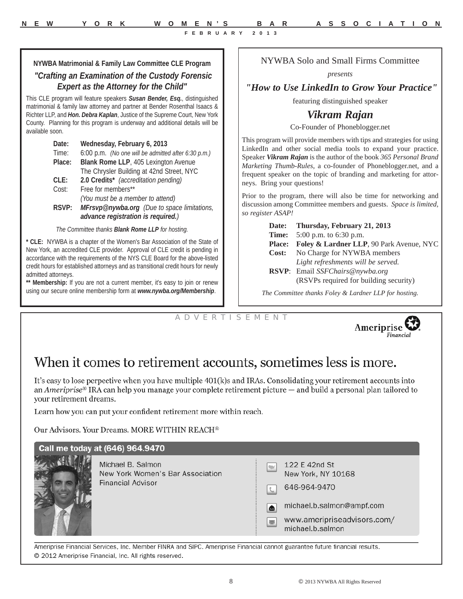**NYWBA Matrimonial & Family Law Committee CLE Program** 

#### *"Crafting an Examination of the Custody Forensic Expert as the Attorney for the Child"*

This CLE program will feature speakers *Susan Bender, Esq.*, distinguished matrimonial & family law attorney and partner at Bender Rosenthal Isaacs & Richter LLP, and *Hon. Debra Kaplan*, Justice of the Supreme Court, New York County. Planning for this program is underway and additional details will be available soon.

| Date:   | Wednesday, February 6, 2013                         |
|---------|-----------------------------------------------------|
| Time:   | 6:00 p.m. (No one will be admitted after 6:30 p.m.) |
| Place:  | Blank Rome LLP, 405 Lexington Avenue                |
|         | The Chrysler Building at 42nd Street, NYC           |
| $CLE$ : | 2.0 Credits* (accreditation pending)                |
| Cost:   | Free for members**                                  |
|         | (You must be a member to attend)                    |
| RSVP:   | MFrsvp@nywba.org (Due to space limitations,         |
|         | advance registration is required.)                  |

*The Committee thanks Blank Rome LLP for hosting.*

**\* CLE:** NYWBA is a chapter of the Women's Bar Association of the State of New York, an accredited CLE provider. Approval of CLE credit is pending in accordance with the requirements of the NYS CLE Board for the above-listed credit hours for established attorneys and as transitional credit hours for newly admitted attorneys.

**\*\* Membership:** If you are not a current member, it's easy to join or renew using our secure online membership form at *www.nywba.org/Membership*.

#### NYWBA Solo and Small Firms Committee

*presents*

#### *"How to Use LinkedIn to Grow Your Practice"*

featuring distinguished speaker

## *Vikram Rajan*

Co-Founder of Phoneblogger.net

This program will provide members with tips and strategies for using LinkedIn and other social media tools to expand your practice. Speaker *Vikram Rajan* is the author of the book *365 Personal Brand Marketing Thumb-Rules*, a co-founder of Phoneblogger.net, and a frequent speaker on the topic of branding and marketing for attorneys. Bring your questions!

Prior to the program, there will also be time for networking and discussion among Committee members and guests. *Space is limited, so register ASAP!*

> **Date: Thursday, February 21, 2013 Time:** 5:00 p.m. to 6:30 p.m. **Place: Foley & Lardner LLP**, 90 Park Avenue, NYC **Cost:** No Charge for NYWBA members *Light refreshments will be served.* **RSVP**: Email *SSFChairs@nywba.org* (RSVPs required for building security)

*The Committee thanks Foley & Lardner LLP for hosting.*

A D V E R T I S E M E N T



## When it comes to retirement accounts, sometimes less is more.

It's easy to lose perpective when you have multiple 401(k)s and IRAs. Consolidating your retirement accounts into an Ameriprise<sup>®</sup> IRA can help you manage your complete retirement picture  $-$  and build a personal plan tailored to your retirement dreams.

Learn how you can put your confident retirement more within reach.

Our Advisors. Your Dreams. MORE WITHIN REACH®

| Call me today at (646) 964.9470                                                   |     |                                                                                                                                     |
|-----------------------------------------------------------------------------------|-----|-------------------------------------------------------------------------------------------------------------------------------------|
| Michael B. Salmon<br>New York Women's Bar Association<br><b>Financial Advisor</b> | ا ک | 122 E 42nd St<br>New York, NY 10168<br>646-964-9470<br>michael.b.salmon@ampf.com<br>www.ameripriseadvisors.com/<br>michael.b.salmon |

Ameriprise Financial Services, Inc. Member FINRA and SIPC. Ameriprise Financial cannot guarantee future financial results. © 2012 Ameriprise Financial, Inc. All rights reserved.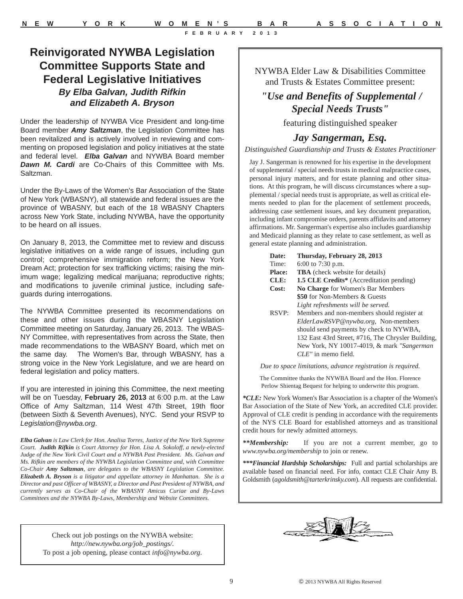## **Reinvigorated NYWBA Legislation Committee Supports State and Federal Legislative Initiatives**  *By Elba Galvan, Judith Rifkin and Elizabeth A. Bryson*

Under the leadership of NYWBA Vice President and long-time Board member *Amy Saltzman*, the Legislation Committee has been revitalized and is actively involved in reviewing and commenting on proposed legislation and policy initiatives at the state and federal level. *Elba Galvan* and NYWBA Board member *Dawn M. Cardi* are Co-Chairs of this Committee with Ms. Saltzman.

Under the By-Laws of the Women's Bar Association of the State of New York (WBASNY), all statewide and federal issues are the province of WBASNY, but each of the 18 WBASNY Chapters across New York State, including NYWBA, have the opportunity to be heard on all issues.

On January 8, 2013, the Committee met to review and discuss legislative initiatives on a wide range of issues, including gun control; comprehensive immigration reform; the New York Dream Act; protection for sex trafficking victims; raising the minimum wage; legalizing medical marijuana; reproductive rights; and modifications to juvenile criminal justice, including safeguards during interrogations.

The NYWBA Committee presented its recommendations on these and other issues during the WBASNY Legislation Committee meeting on Saturday, January 26, 2013. The WBAS-NY Committee, with representatives from across the State, then made recommendations to the WBASNY Board, which met on the same day. The Women's Bar, through WBASNY, has a strong voice in the New York Legislature, and we are heard on federal legislation and policy matters.

If you are interested in joining this Committee, the next meeting will be on Tuesday, **February 26, 2013** at 6:00 p.m. at the Law Office of Amy Saltzman, 114 West 47th Street, 19th floor (between Sixth & Seventh Avenues), NYC. Send your RSVP to *Legislation@nywba.org*.

*Elba Galvan is Law Clerk for Hon. Analisa Torres, Justice of the New York Supreme Court. Judith Rifkin is Court Attorney for Hon. Lisa A. Sokoloff, a newly-elected Judge of the New York Civil Court and a NYWBA Past President. Ms. Galvan and Ms. Rifkin are members of the NYWBA Legislation Committee and, with Committee Co-Chair Amy Saltzman, are delegates to the WBASNY Legislation Committee. Elizabeth A. Bryson is a litigator and appellate attorney in Manhattan. She is a Director and past Officer of WBASNY, a Director and Past President of NYWBA, and currently serves as Co-Chair of the WBASNY Amicus Curiae and By-Laws Committees and the NYWBA By-Laws, Membership and Website Committees.* 

> Check out job postings on the NYWBA website: *http://new.nywba.org/job\_postings/.* To post a job opening, please contact *info@nywba.org*.

NYWBA Elder Law & Disabilities Committee and Trusts & Estates Committee present:

## *"Use and Benefits of Supplemental / Special Needs Trusts"*

featuring distinguished speaker

#### *Jay Sangerman, Esq.*

*Distinguished Guardianship and Trusts & Estates Practitioner*

Jay J. Sangerman is renowned for his expertise in the development of supplemental / special needs trusts in medical malpractice cases, personal injury matters, and for estate planning and other situations. At this program, he will discuss circumstances where a supplemental / special needs trust is appropriate, as well as critical elements needed to plan for the placement of settlement proceeds, addressing case settlement issues, and key document preparation, including infant compromise orders, parents affidavits and attorney affirmations. Mr. Sangerman's expertise also includes guardianship and Medicaid planning as they relate to case settlement, as well as general estate planning and administration.

| Date:         | Thursday, February 28, 2013                     |
|---------------|-------------------------------------------------|
| Time:         | 6:00 to 7:30 p.m.                               |
| <b>Place:</b> | <b>TBA</b> (check website for details)          |
| CLE:          | <b>1.5 CLE Credits*</b> (Accreditation pending) |
| Cost:         | No Charge for Women's Bar Members               |
|               | \$50 for Non-Members & Guests                   |
|               | Light refreshments will be served.              |
| RSVP:         | Members and non-members should register at      |
|               | ElderLawRSVP@nywba.org, Non-members             |
|               |                                                 |

should send payments by check to NYWBA, 132 East 43rd Street, #716, The Chrysler Building, New York, NY 10017-4019, & mark *"Sangerman CLE"* in memo field.

*Due to space limitations, advance registration is required.*

The Committee thanks the NYWBA Board and the Hon. Florence Perlow Shientag Bequest for helping to underwrite this program.

*\*CLE:* New York Women's Bar Association is a chapter of the Women's Bar Association of the State of New York, an accredited CLE provider. Approval of CLE credit is pending in accordance with the requirements of the NYS CLE Board for established attorneys and as transitional credit hours for newly admitted attorneys.

*\*\*Membership:* If you are not a current member, go to *www.nywba.org/membership* to join or renew.

*\*\*\*Financial Hardship Scholarships:* Full and partial scholarships are available based on financial need. For info, contact CLE Chair Amy B. Goldsmith (*agoldsmith@tarterkrinsky.com*). All requests are confidential.

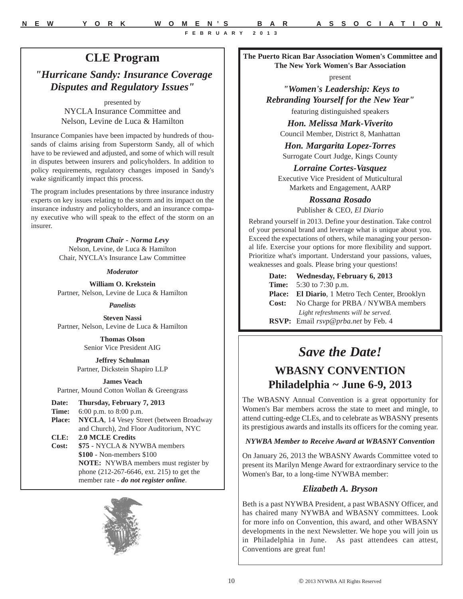## **The Puerto Rican Bar Association Women's Committee and**

## **CLE Program**

*"Hurricane Sandy: Insurance Coverage Disputes and Regulatory Issues"*

> presented by NYCLA Insurance Committee and Nelson, Levine de Luca & Hamilton

Insurance Companies have been impacted by hundreds of thousands of claims arising from Superstorm Sandy, all of which have to be reviewed and adjusted, and some of which will result in disputes between insurers and policyholders. In addition to policy requirements, regulatory changes imposed in Sandy's wake significantly impact this process.

The program includes presentations by three insurance industry experts on key issues relating to the storm and its impact on the insurance industry and policyholders, and an insurance company executive who will speak to the effect of the storm on an insurer.

> *Program Chair - Norma Levy*  Nelson, Levine, de Luca & Hamilton Chair, NYCLA's Insurance Law Committee

#### *Moderator*

**William O. Krekstein** Partner, Nelson, Levine de Luca & Hamilton

*Panelists*

**Steven Nassi** Partner, Nelson, Levine de Luca & Hamilton

> **Thomas Olson** Senior Vice President AIG

**Jeffrey Schulman** Partner, Dickstein Shapiro LLP

**James Veach** Partner, Mound Cotton Wollan & Greengrass

**Date: Thursday, February 7, 2013**

- **Time:** 6:00 p.m. to 8:00 p.m. Place: NYCLA, 14 Vesey Street (between Broadway and Church), 2nd Floor Auditorium, NYC **CLE: 2.0 MCLE Credits Cost: \$75** - NYCLA & NYWBA members
	- **\$100**  Non-members \$100 **NOTE:** NYWBA members must register by phone (212-267-6646, ext. 215) to get the member rate - *do not register online*.



**The New York Women's Bar Association** 

present

*"Women's Leadership: Keys to Rebranding Yourself for the New Year"* featuring distinguished speakers

*Hon. Melissa Mark-Viverito*

Council Member, District 8, Manhattan

*Hon. Margarita Lopez-Torres* Surrogate Court Judge, Kings County

*Lorraine Cortes-Vasquez*

Executive Vice President of Muticultural Markets and Engagement, AARP

> *Rossana Rosado* Publisher & CEO, *El Diario*

Rebrand yourself in 2013. Define your destination. Take control of your personal brand and leverage what is unique about you. Exceed the expectations of others, while managing your personal life. Exercise your options for more flexibility and support. Prioritize what's important. Understand your passions, values, weaknesses and goals. Please bring your questions!

> **Date: Wednesday, February 6, 2013 Time:** 5:30 to 7:30 p.m. **Place: El Diario**, 1 Metro Tech Center, Brooklyn **Cost:** No Charge for PRBA / NYWBA members *Light refreshments will be served.* **RSVP:** Email *rsvp@prba.net* by Feb. 4

## *Save the Date!*

## **WBASNY CONVENTION Philadelphia ~ June 6-9, 2013**

The WBASNY Annual Convention is a great opportunity for Women's Bar members across the state to meet and mingle, to attend cutting-edge CLEs, and to celebrate as WBASNY presents its prestigious awards and installs its officers for the coming year.

*NYWBA Member to Receive Award at WBASNY Convention*

On January 26, 2013 the WBASNY Awards Committee voted to present its Marilyn Menge Award for extraordinary service to the Women's Bar, to a long-time NYWBA member:

#### *Elizabeth A. Bryson*

Beth is a past NYWBA President, a past WBASNY Officer, and has chaired many NYWBA and WBASNY committees. Look for more info on Convention, this award, and other WBASNY developments in the next Newsletter. We hope you will join us in Philadelphia in June. As past attendees can attest, Conventions are great fun!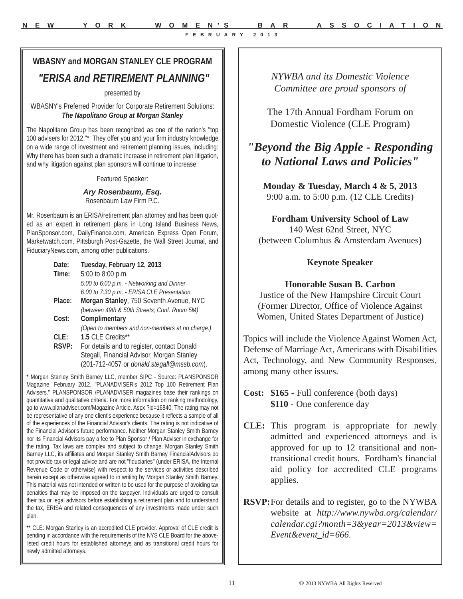## **WBASNY and MORGAN STANLEY CLE PROGRAM**  *"ERISA and RETIREMENT PLANNING"*

presented by

WBASNY's Preferred Provider for Corporate Retirement Solutions: *The Napolitano Group at Morgan Stanley* 

The Napolitano Group has been recognized as one of the nation's "top 100 advisers for 2012."\* They offer you and your firm industry knowledge on a wide range of investment and retirement planning issues, including: Why there has been such a dramatic increase in retirement plan litigation, and why litigation against plan sponsors will continue to increase.

Featured Speaker:

*Ary Rosenbaum, Esq.* Rosenbaum Law Firm P.C.

Mr. Rosenbaum is an ERISA/retirement plan attorney and has been quoted as an expert in retirement plans in Long Island Business News, PlanSponsor.com, DailyFinance.com, American Express Open Forum, Marketwatch.com, Pittsburgh Post-Gazette, the Wall Street Journal, and FiduciaryNews.com, among other publications.

| Date:  | Tuesday, February 12, 2013                      |
|--------|-------------------------------------------------|
| Time:  | 5:00 to 8:00 p.m.                               |
|        | 5:00 to 6:00 p.m. - Networking and Dinner       |
|        | 6:00 to 7:30 p.m. - ERISA CLE Presentation      |
| Place: | Morgan Stanley, 750 Seventh Avenue, NYC         |
|        | (between 49th & 50th Streets; Conf. Room 5M)    |
| Cost:  | Complimentary                                   |
|        | (Open to members and non-members at no charge.) |
| CLE:   | 1.5 CLE Credits**                               |
| RSVP:  | For details and to register, contact Donald     |
|        | Stegall, Financial Advisor, Morgan Stanley      |
|        | (201-712-4057 or donald.stegall@mssb.com).      |

\* Morgan Stanley Smith Barney LLC, member SIPC - Source: PLANSPONSOR Magazine, February 2012, "PLANADVISER's 2012 Top 100 Retirement Plan Advisers." PLANSPONSOR /PLANADVISER magazines base their rankings on quantitative and qualitative criteria. For more information on ranking methodology, go to www.planadviser.com/Magazine Article. Aspx ?id=16840. The rating may not be representative of any one client's experience because it reflects a sample of all of the experiences of the Financial Advisor's clients. The rating is not indicative of the Financial Advisor's future performance. Neither Morgan Stanley Smith Barney nor its Financial Advisors pay a fee to Plan Sponsor / Plan Adviser in exchange for the rating. Tax laws are complex and subject to change. Morgan Stanley Smith Barney LLC, its affiliates and Morgan Stanley Smith Barney FinancialAdvisors do not provide tax or legal advice and are not "fiduciaries" (under ERISA, the Internal Revenue Code or otherwise) with respect to the services or activities described herein except as otherwise agreed to in writing by Morgan Stanley Smith Barney. This material was not intended or written to be used for the purpose of avoiding tax penalties that may be imposed on the taxpayer. Individuals are urged to consult their tax or legal advisors before establishing a retirement plan and to understand the tax, ERISA and related consequences of any investments made under such plan.

\*\* CLE: Morgan Stanley is an accredited CLE provider. Approval of CLE credit is pending in accordance with the requirements of the NYS CLE Board for the abovelisted credit hours for established attorneys and as transitional credit hours for newly admitted attorneys.

*NYWBA and its Domestic Violence Committee are proud sponsors of*

The 17th Annual Fordham Forum on Domestic Violence (CLE Program)

## *"Beyond the Big Apple - Responding to National Laws and Policies"*

**Monday & Tuesday, March 4 & 5, 2013** 9:00 a.m. to 5:00 p.m. (12 CLE Credits)

**Fordham University School of Law** 140 West 62nd Street, NYC (between Columbus & Amsterdam Avenues)

#### **Keynote Speaker**

#### **Honorable Susan B. Carbon**

Justice of the New Hampshire Circuit Court (Former Director, Office of Violence Against Women, United States Department of Justice)

Topics will include the Violence Against Women Act, Defense of Marriage Act, Americans with Disabilities Act, Technology, and New Community Responses, among many other issues.

- **CLE:** This program is appropriate for newly admitted and experienced attorneys and is approved for up to 12 transitional and nontransitional credit hours. Fordham's financial aid policy for accredited CLE programs applies.
- **RSVP:**For details and to register, go to the NYWBA website at *http://www.nywba.org/calendar/ calendar.cgi?month=3&year=2013&view= Event&event\_id=666*.

**Cost: \$165** - Full conference (both days) **\$110** - One conference day